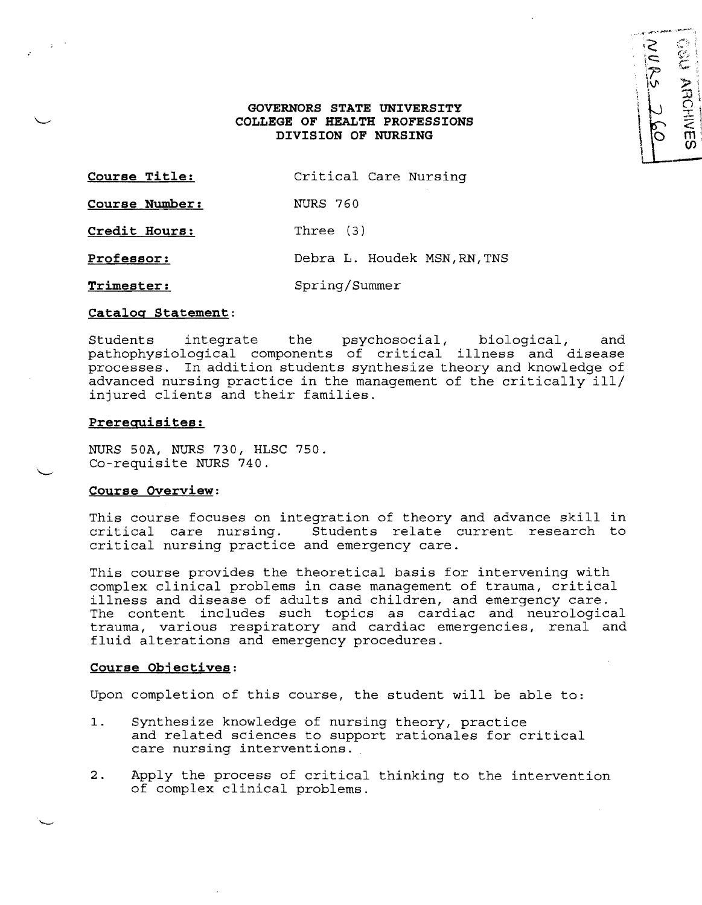# **GOVERNORS STATE UNIVERSITY COLLEGE OF HEALTH PROFESSIONS DIVISION OF NURSING**

| Course Title:  | Critical Care Nursing        |
|----------------|------------------------------|
| Course Number: | NURS 760                     |
| Credit Hours:  | Three (3)                    |
| Professor:     | Debra L. Houdek MSN, RN, TNS |
|                |                              |

**Trimester:** Spring/Summer

#### **Catalog Statement:**

Students integrate the psychosocial, biological, and pathophysiological components of critical illness and disease processes. In addition students synthesize theory and knowledge of advanced nursing practice in the management of the critically ill/ injured clients and their families.

#### **Prerequisites:**

NURS SOA, NURS 730, HLSC 750. Co-requisite NURS 740.

# **Course Overview:**

This course focuses on integration of theory and advance skill in critical care nursing. Students relate current research to critical nursing practice and emergency care.

This course provides the theoretical basis for intervening with complex clinical problems in case management of trauma, critical illness and disease of adults and children, and emergency care. The content includes such topics as cardiac and neurological trauma, various respiratory and cardiac emergencies, renal and fluid alterations and emergency procedures.

#### **Course Objectives:**

Upon completion of this course, the student will be able to:

- 1. Synthesize knowledge of nursing theory, practice and related sciences to support rationales for critical care nursing interventions.
- 2. Apply the process of critical thinking to the intervention of complex clinical problems.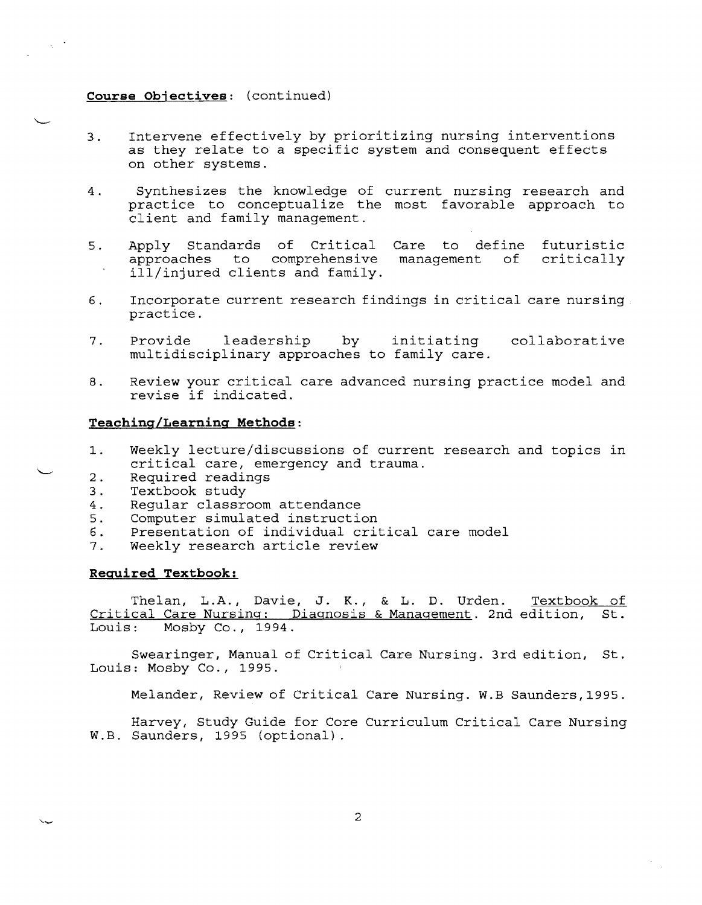### **Course Objectives:** (continued)

 $\sim$   $^{-1}$ 

- 3. Intervene effectively by prioritizing nursing interventions as they relate to a specific system and consequent effects on other systems.
- 4. Synthesizes the knowledge of current nursing research and practice to conceptualize the most favorable approach to client and family management.
- 5. Apply Standards of Critical Care to define futuristic<br>approaches to comprehensive management of critically approaches to comprehensive ill/injured clients and family.
- 6. Incorporate current research findings in critical care nursing practice.
- 7. Provide leadership by initiating collaborative multidisciplinary approaches to family care.
- 8. Review your critical care advanced nursing practice model and revise if indicated.

### **Teaching/Learning Methods:**

- 1. Weekly lecture/discussions of current research and topics in critical care, emergency and trauma.
- 2. Required readings<br>3. Textbook study
- Textbook study
- 4. Regular classroom attendance<br>5. Computer simulated instructio
- Computer simulated instruction
- 6. Presentation of individual critical care model<br>7. Weekly research article review
- Weekly research article review

#### **Required Textbook:**

Thelan, L.A., Davie, J. K., & L. D. Urden. Textbook of Critical Care Nursing: Diagnosis & Management. 2nd edition, St.<br>Louis: Mosby Co., 1994. Mosby Co., 1994.

Swearinger, Manual of Critical Care Nursing. 3rd edition, St. Louis: Mosby Co., 1995.

Melander, Review of Critical Care Nursing. W.B Saunders, 1995.

Harvey, Study Guide for Core Curriculum Critical Care Nursing W.B. Saunders, 1995 (optional).